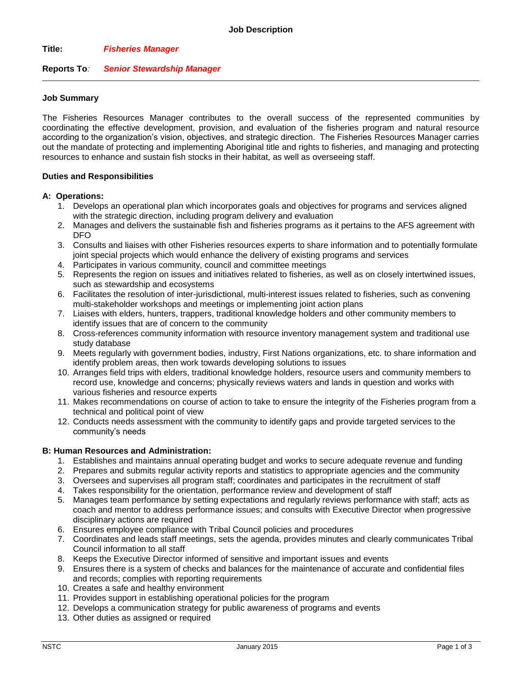## **Title:** *Fisheries Manager*

## **Reports To***: Senior Stewardship Manager*

### **Job Summary**

The Fisheries Resources Manager contributes to the overall success of the represented communities by coordinating the effective development, provision, and evaluation of the fisheries program and natural resource according to the organization's vision, objectives, and strategic direction. The Fisheries Resources Manager carries out the mandate of protecting and implementing Aboriginal title and rights to fisheries, and managing and protecting resources to enhance and sustain fish stocks in their habitat, as well as overseeing staff.

#### **Duties and Responsibilities**

#### **A: Operations:**

- 1. Develops an operational plan which incorporates goals and objectives for programs and services aligned with the strategic direction, including program delivery and evaluation
- 2. Manages and delivers the sustainable fish and fisheries programs as it pertains to the AFS agreement with DFO
- 3. Consults and liaises with other Fisheries resources experts to share information and to potentially formulate joint special projects which would enhance the delivery of existing programs and services
- 4. Participates in various community, council and committee meetings
- 5. Represents the region on issues and initiatives related to fisheries, as well as on closely intertwined issues, such as stewardship and ecosystems
- 6. Facilitates the resolution of inter-jurisdictional, multi-interest issues related to fisheries, such as convening multi-stakeholder workshops and meetings or implementing joint action plans
- 7. Liaises with elders, hunters, trappers, traditional knowledge holders and other community members to identify issues that are of concern to the community
- 8. Cross-references community information with resource inventory management system and traditional use study database
- 9. Meets regularly with government bodies, industry, First Nations organizations, etc. to share information and identify problem areas, then work towards developing solutions to issues
- 10. Arranges field trips with elders, traditional knowledge holders, resource users and community members to record use, knowledge and concerns; physically reviews waters and lands in question and works with various fisheries and resource experts
- 11. Makes recommendations on course of action to take to ensure the integrity of the Fisheries program from a technical and political point of view
- 12. Conducts needs assessment with the community to identify gaps and provide targeted services to the community's needs

#### **B: Human Resources and Administration:**

- 1. Establishes and maintains annual operating budget and works to secure adequate revenue and funding
- 2. Prepares and submits regular activity reports and statistics to appropriate agencies and the community
- 3. Oversees and supervises all program staff; coordinates and participates in the recruitment of staff
- 4. Takes responsibility for the orientation, performance review and development of staff
- 5. Manages team performance by setting expectations and regularly reviews performance with staff; acts as coach and mentor to address performance issues; and consults with Executive Director when progressive disciplinary actions are required
- 6. Ensures employee compliance with Tribal Council policies and procedures
- 7. Coordinates and leads staff meetings, sets the agenda, provides minutes and clearly communicates Tribal Council information to all staff
- 8. Keeps the Executive Director informed of sensitive and important issues and events
- 9. Ensures there is a system of checks and balances for the maintenance of accurate and confidential files and records; complies with reporting requirements
- 10. Creates a safe and healthy environment
- 11. Provides support in establishing operational policies for the program
- 12. Develops a communication strategy for public awareness of programs and events
- 13. Other duties as assigned or required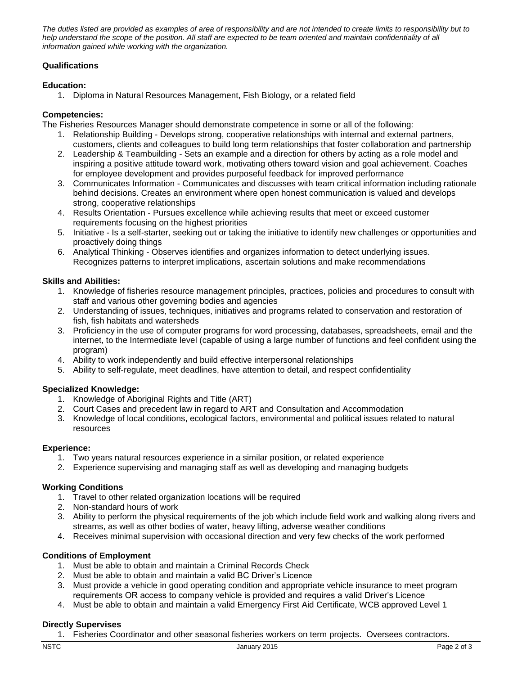*The duties listed are provided as examples of area of responsibility and are not intended to create limits to responsibility but to*  help understand the scope of the position. All staff are expected to be team oriented and maintain confidentiality of all *information gained while working with the organization.*

# **Qualifications**

## **Education:**

1. Diploma in Natural Resources Management, Fish Biology, or a related field

## **Competencies:**

The Fisheries Resources Manager should demonstrate competence in some or all of the following:

- 1. Relationship Building Develops strong, cooperative relationships with internal and external partners, customers, clients and colleagues to build long term relationships that foster collaboration and partnership
- 2. Leadership & Teambuilding Sets an example and a direction for others by acting as a role model and inspiring a positive attitude toward work, motivating others toward vision and goal achievement. Coaches for employee development and provides purposeful feedback for improved performance
- 3. Communicates Information Communicates and discusses with team critical information including rationale behind decisions. Creates an environment where open honest communication is valued and develops strong, cooperative relationships
- 4. Results Orientation Pursues excellence while achieving results that meet or exceed customer requirements focusing on the highest priorities
- 5. Initiative Is a self-starter, seeking out or taking the initiative to identify new challenges or opportunities and proactively doing things
- 6. Analytical Thinking Observes identifies and organizes information to detect underlying issues. Recognizes patterns to interpret implications, ascertain solutions and make recommendations

# **Skills and Abilities:**

- 1. Knowledge of fisheries resource management principles, practices, policies and procedures to consult with staff and various other governing bodies and agencies
- 2. Understanding of issues, techniques, initiatives and programs related to conservation and restoration of fish, fish habitats and watersheds
- 3. Proficiency in the use of computer programs for word processing, databases, spreadsheets, email and the internet, to the Intermediate level (capable of using a large number of functions and feel confident using the program)
- 4. Ability to work independently and build effective interpersonal relationships
- 5. Ability to self-regulate, meet deadlines, have attention to detail, and respect confidentiality

## **Specialized Knowledge:**

- 1. Knowledge of Aboriginal Rights and Title (ART)
- 2. Court Cases and precedent law in regard to ART and Consultation and Accommodation
- 3. Knowledge of local conditions, ecological factors, environmental and political issues related to natural resources

## **Experience:**

- 1. Two years natural resources experience in a similar position, or related experience
- 2. Experience supervising and managing staff as well as developing and managing budgets

## **Working Conditions**

- 1. Travel to other related organization locations will be required
- 2. Non-standard hours of work
- 3. Ability to perform the physical requirements of the job which include field work and walking along rivers and streams, as well as other bodies of water, heavy lifting, adverse weather conditions
- 4. Receives minimal supervision with occasional direction and very few checks of the work performed

## **Conditions of Employment**

- 1. Must be able to obtain and maintain a Criminal Records Check
- 2. Must be able to obtain and maintain a valid BC Driver's Licence
- 3. Must provide a vehicle in good operating condition and appropriate vehicle insurance to meet program requirements OR access to company vehicle is provided and requires a valid Driver's Licence
- 4. Must be able to obtain and maintain a valid Emergency First Aid Certificate, WCB approved Level 1

## **Directly Supervises**

1. Fisheries Coordinator and other seasonal fisheries workers on term projects. Oversees contractors.